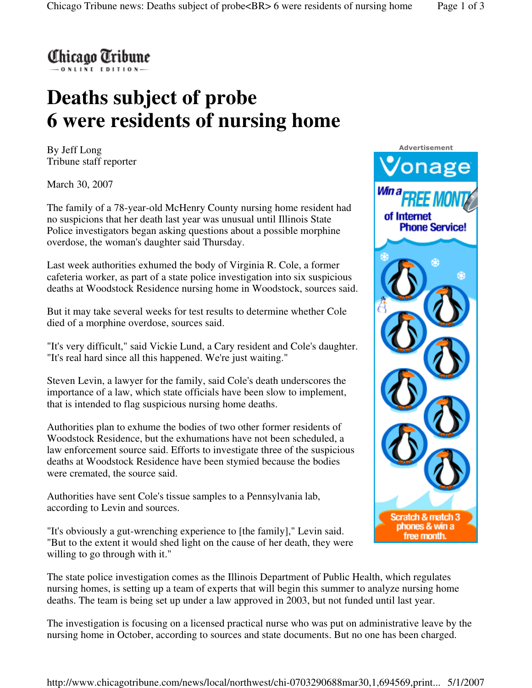

## **Deaths subject of probe 6 were residents of nursing home**

By Jeff Long Tribune staff reporter

March 30, 2007

The family of a 78-year-old McHenry County nursing home resident had no suspicions that her death last year was unusual until Illinois State Police investigators began asking questions about a possible morphine overdose, the woman's daughter said Thursday.

Last week authorities exhumed the body of Virginia R. Cole, a former cafeteria worker, as part of a state police investigation into six suspicious deaths at Woodstock Residence nursing home in Woodstock, sources said.

But it may take several weeks for test results to determine whether Cole died of a morphine overdose, sources said.

"It's very difficult," said Vickie Lund, a Cary resident and Cole's daughter. "It's real hard since all this happened. We're just waiting."

Steven Levin, a lawyer for the family, said Cole's death underscores the importance of a law, which state officials have been slow to implement, that is intended to flag suspicious nursing home deaths.

Authorities plan to exhume the bodies of two other former residents of Woodstock Residence, but the exhumations have not been scheduled, a law enforcement source said. Efforts to investigate three of the suspicious deaths at Woodstock Residence have been stymied because the bodies were cremated, the source said.

Authorities have sent Cole's tissue samples to a Pennsylvania lab, according to Levin and sources.

"It's obviously a gut-wrenching experience to [the family]," Levin said. "But to the extent it would shed light on the cause of her death, they were willing to go through with it."



The state police investigation comes as the Illinois Department of Public Health, which regulates nursing homes, is setting up a team of experts that will begin this summer to analyze nursing home deaths. The team is being set up under a law approved in 2003, but not funded until last year.

The investigation is focusing on a licensed practical nurse who was put on administrative leave by the nursing home in October, according to sources and state documents. But no one has been charged.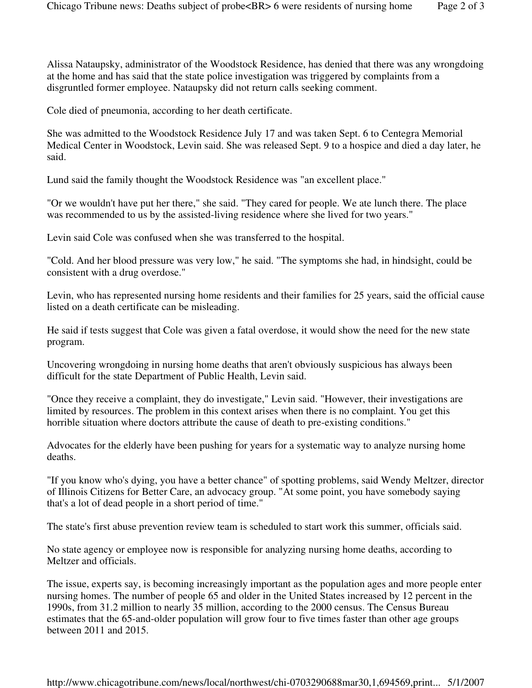Alissa Nataupsky, administrator of the Woodstock Residence, has denied that there was any wrongdoing at the home and has said that the state police investigation was triggered by complaints from a disgruntled former employee. Nataupsky did not return calls seeking comment.

Cole died of pneumonia, according to her death certificate.

She was admitted to the Woodstock Residence July 17 and was taken Sept. 6 to Centegra Memorial Medical Center in Woodstock, Levin said. She was released Sept. 9 to a hospice and died a day later, he said.

Lund said the family thought the Woodstock Residence was "an excellent place."

"Or we wouldn't have put her there," she said. "They cared for people. We ate lunch there. The place was recommended to us by the assisted-living residence where she lived for two years."

Levin said Cole was confused when she was transferred to the hospital.

"Cold. And her blood pressure was very low," he said. "The symptoms she had, in hindsight, could be consistent with a drug overdose."

Levin, who has represented nursing home residents and their families for 25 years, said the official cause listed on a death certificate can be misleading.

He said if tests suggest that Cole was given a fatal overdose, it would show the need for the new state program.

Uncovering wrongdoing in nursing home deaths that aren't obviously suspicious has always been difficult for the state Department of Public Health, Levin said.

"Once they receive a complaint, they do investigate," Levin said. "However, their investigations are limited by resources. The problem in this context arises when there is no complaint. You get this horrible situation where doctors attribute the cause of death to pre-existing conditions."

Advocates for the elderly have been pushing for years for a systematic way to analyze nursing home deaths.

"If you know who's dying, you have a better chance" of spotting problems, said Wendy Meltzer, director of Illinois Citizens for Better Care, an advocacy group. "At some point, you have somebody saying that's a lot of dead people in a short period of time."

The state's first abuse prevention review team is scheduled to start work this summer, officials said.

No state agency or employee now is responsible for analyzing nursing home deaths, according to Meltzer and officials.

The issue, experts say, is becoming increasingly important as the population ages and more people enter nursing homes. The number of people 65 and older in the United States increased by 12 percent in the 1990s, from 31.2 million to nearly 35 million, according to the 2000 census. The Census Bureau estimates that the 65-and-older population will grow four to five times faster than other age groups between 2011 and 2015.